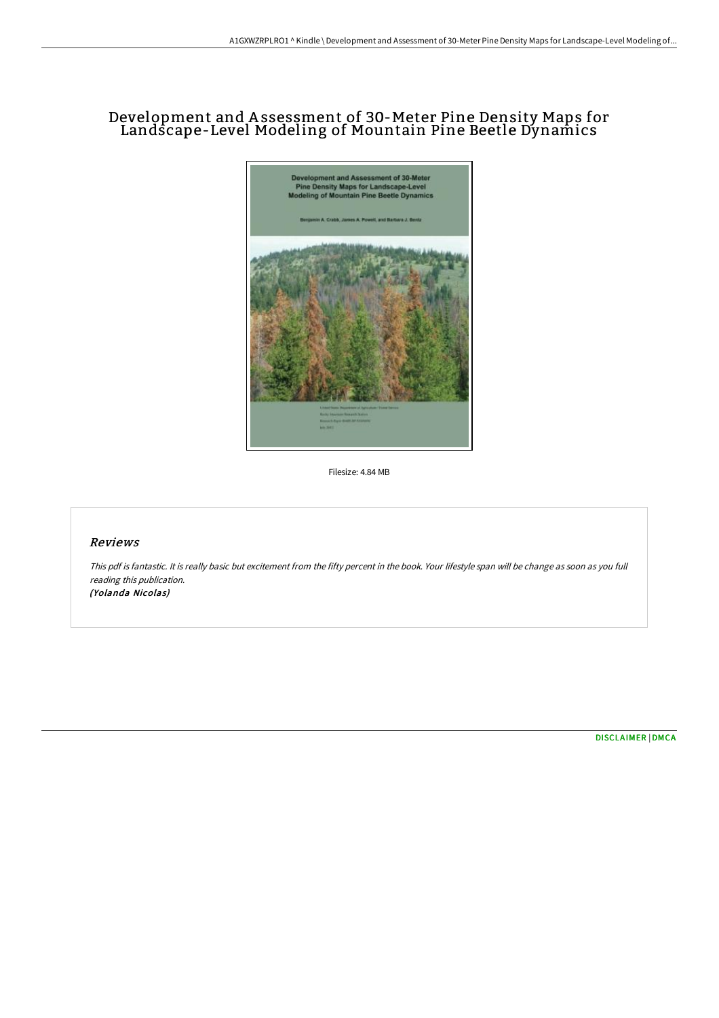## Development and A ssessment of 30-Meter Pine Density Maps for Landscape-Level Modeling of Mountain Pine Beetle Dynamics



Filesize: 4.84 MB

## Reviews

This pdf is fantastic. It is really basic but excitement from the fifty percent in the book. Your lifestyle span will be change as soon as you full reading this publication. (Yolanda Nicolas)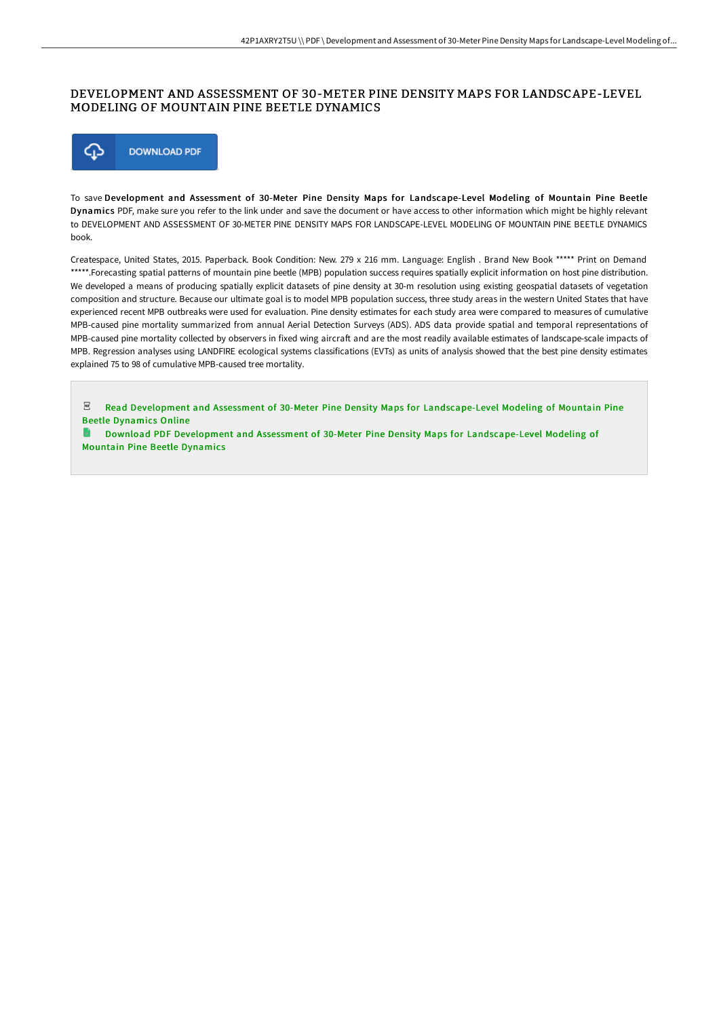## DEVELOPMENT AND ASSESSMENT OF 30-METER PINE DENSITY MAPS FOR LANDSCAPE-LEVEL MODELING OF MOUNTAIN PINE BEETLE DYNAMICS



To save Development and Assessment of 30-Meter Pine Density Maps for Landscape-Level Modeling of Mountain Pine Beetle Dynamics PDF, make sure you refer to the link under and save the document or have access to other information which might be highly relevant to DEVELOPMENT AND ASSESSMENT OF 30-METER PINE DENSITY MAPS FOR LANDSCAPE-LEVEL MODELING OF MOUNTAIN PINE BEETLE DYNAMICS book.

Createspace, United States, 2015. Paperback. Book Condition: New. 279 x 216 mm. Language: English . Brand New Book \*\*\*\*\* Print on Demand \*\*\*\*\*.Forecasting spatial patterns of mountain pine beetle (MPB) population success requires spatially explicit information on host pine distribution. We developed a means of producing spatially explicit datasets of pine density at 30-m resolution using existing geospatial datasets of vegetation composition and structure. Because our ultimate goal is to model MPB population success, three study areas in the western United States that have experienced recent MPB outbreaks were used for evaluation. Pine density estimates for each study area were compared to measures of cumulative MPB-caused pine mortality summarized from annual Aerial Detection Surveys (ADS). ADS data provide spatial and temporal representations of MPB-caused pine mortality collected by observers in fixed wing aircraft and are the most readily available estimates of landscape-scale impacts of MPB. Regression analyses using LANDFIRE ecological systems classifications (EVTs) as units of analysis showed that the best pine density estimates explained 75 to 98 of cumulative MPB-caused tree mortality.

 $PDF$ Read Development and Assessment of 30-Meter Pine Density Maps for [Landscape-Level](http://techno-pub.tech/development-and-assessment-of-30-meter-pine-dens.html) Modeling of Mountain Pine Beetle Dynamics Online

Download PDF Development and Assessment of 30-Meter Pine Density Maps for [Landscape-Level](http://techno-pub.tech/development-and-assessment-of-30-meter-pine-dens.html) Modeling of Mountain Pine Beetle Dynamics